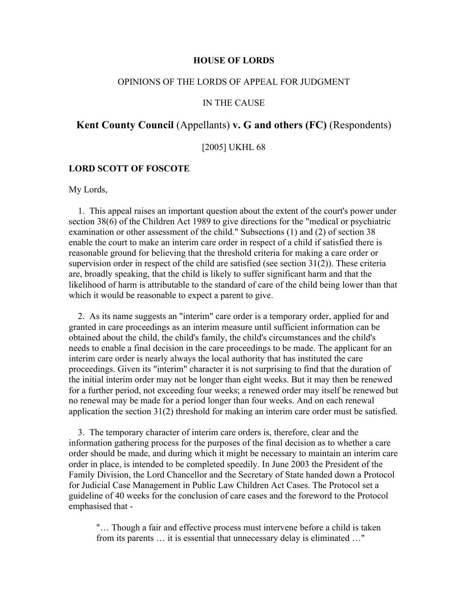#### **HOUSE OF LORDS**

# OPINIONS OF THE LORDS OF APPEAL FOR JUDGMENT

## IN THE CAUSE

# **Kent County Council** (Appellants) **v. G and others (FC)** (Respondents)

# [2005] UKHL 68

## **LORD SCOTT OF FOSCOTE**

My Lords,

1. This appeal raises an important question about the extent of the court's power under section 38(6) of the Children Act 1989 to give directions for the "medical or psychiatric examination or other assessment of the child." Subsections (1) and (2) of section 38 enable the court to make an interim care order in respect of a child if satisfied there is reasonable ground for believing that the threshold criteria for making a care order or supervision order in respect of the child are satisfied (see section  $31(2)$ ). These criteria are, broadly speaking, that the child is likely to suffer significant harm and that the likelihood of harm is attributable to the standard of care of the child being lower than that which it would be reasonable to expect a parent to give.

2. As its name suggests an "interim" care order is a temporary order, applied for and granted in care proceedings as an interim measure until sufficient information can be obtained about the child, the child's family, the child's circumstances and the child's needs to enable a final decision in the care proceedings to be made. The applicant for an interim care order is nearly always the local authority that has instituted the care proceedings. Given its "interim" character it is not surprising to find that the duration of the initial interim order may not be longer than eight weeks. But it may then be renewed for a further period, not exceeding four weeks; a renewed order may itself be renewed but no renewal may be made for a period longer than four weeks. And on each renewal application the section 31(2) threshold for making an interim care order must be satisfied.

3. The temporary character of interim care orders is, therefore, clear and the information gathering process for the purposes of the final decision as to whether a care order should be made, and during which it might be necessary to maintain an interim care order in place, is intended to be completed speedily. In June 2003 the President of the Family Division, the Lord Chancellor and the Secretary of State handed down a Protocol for Judicial Case Management in Public Law Children Act Cases. The Protocol set a guideline of 40 weeks for the conclusion of care cases and the foreword to the Protocol emphasised that -

"… Though a fair and effective process must intervene before a child is taken from its parents … it is essential that unnecessary delay is eliminated …"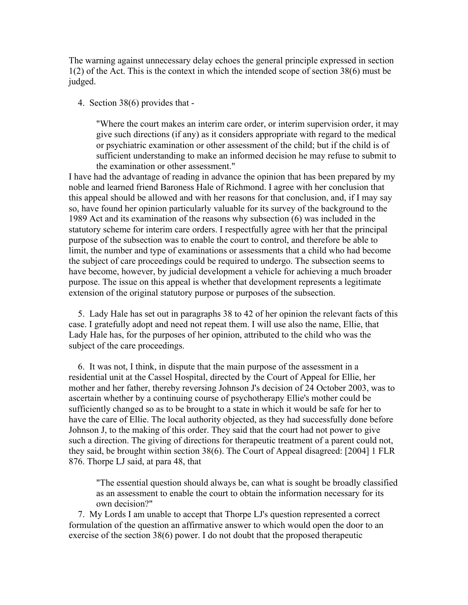The warning against unnecessary delay echoes the general principle expressed in section 1(2) of the Act. This is the context in which the intended scope of section 38(6) must be judged.

4. Section 38(6) provides that -

"Where the court makes an interim care order, or interim supervision order, it may give such directions (if any) as it considers appropriate with regard to the medical or psychiatric examination or other assessment of the child; but if the child is of sufficient understanding to make an informed decision he may refuse to submit to the examination or other assessment."

I have had the advantage of reading in advance the opinion that has been prepared by my noble and learned friend Baroness Hale of Richmond. I agree with her conclusion that this appeal should be allowed and with her reasons for that conclusion, and, if I may say so, have found her opinion particularly valuable for its survey of the background to the 1989 Act and its examination of the reasons why subsection (6) was included in the statutory scheme for interim care orders. I respectfully agree with her that the principal purpose of the subsection was to enable the court to control, and therefore be able to limit, the number and type of examinations or assessments that a child who had become the subject of care proceedings could be required to undergo. The subsection seems to have become, however, by judicial development a vehicle for achieving a much broader purpose. The issue on this appeal is whether that development represents a legitimate extension of the original statutory purpose or purposes of the subsection.

5. Lady Hale has set out in paragraphs 38 to 42 of her opinion the relevant facts of this case. I gratefully adopt and need not repeat them. I will use also the name, Ellie, that Lady Hale has, for the purposes of her opinion, attributed to the child who was the subject of the care proceedings.

6. It was not, I think, in dispute that the main purpose of the assessment in a residential unit at the Cassel Hospital, directed by the Court of Appeal for Ellie, her mother and her father, thereby reversing Johnson J's decision of 24 October 2003, was to ascertain whether by a continuing course of psychotherapy Ellie's mother could be sufficiently changed so as to be brought to a state in which it would be safe for her to have the care of Ellie. The local authority objected, as they had successfully done before Johnson J, to the making of this order. They said that the court had not power to give such a direction. The giving of directions for therapeutic treatment of a parent could not, they said, be brought within section 38(6). The Court of Appeal disagreed: [2004] 1 FLR 876. Thorpe LJ said, at para 48, that

"The essential question should always be, can what is sought be broadly classified as an assessment to enable the court to obtain the information necessary for its own decision?"

7. My Lords I am unable to accept that Thorpe LJ's question represented a correct formulation of the question an affirmative answer to which would open the door to an exercise of the section 38(6) power. I do not doubt that the proposed therapeutic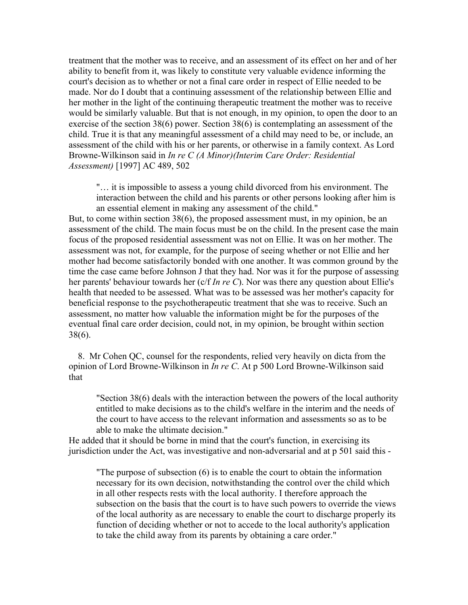treatment that the mother was to receive, and an assessment of its effect on her and of her ability to benefit from it, was likely to constitute very valuable evidence informing the court's decision as to whether or not a final care order in respect of Ellie needed to be made. Nor do I doubt that a continuing assessment of the relationship between Ellie and her mother in the light of the continuing therapeutic treatment the mother was to receive would be similarly valuable. But that is not enough, in my opinion, to open the door to an exercise of the section 38(6) power. Section 38(6) is contemplating an assessment of the child. True it is that any meaningful assessment of a child may need to be, or include, an assessment of the child with his or her parents, or otherwise in a family context. As Lord Browne-Wilkinson said in *In re C (A Minor)(Interim Care Order: Residential Assessment)* [1997] AC 489, 502

"… it is impossible to assess a young child divorced from his environment. The interaction between the child and his parents or other persons looking after him is an essential element in making any assessment of the child."

But, to come within section 38(6), the proposed assessment must, in my opinion, be an assessment of the child. The main focus must be on the child. In the present case the main focus of the proposed residential assessment was not on Ellie. It was on her mother. The assessment was not, for example, for the purpose of seeing whether or not Ellie and her mother had become satisfactorily bonded with one another. It was common ground by the time the case came before Johnson J that they had. Nor was it for the purpose of assessing her parents' behaviour towards her (c/f *In re C*). Nor was there any question about Ellie's health that needed to be assessed. What was to be assessed was her mother's capacity for beneficial response to the psychotherapeutic treatment that she was to receive. Such an assessment, no matter how valuable the information might be for the purposes of the eventual final care order decision, could not, in my opinion, be brought within section 38(6).

8. Mr Cohen QC, counsel for the respondents, relied very heavily on dicta from the opinion of Lord Browne-Wilkinson in *In re C*. At p 500 Lord Browne-Wilkinson said that

"Section 38(6) deals with the interaction between the powers of the local authority entitled to make decisions as to the child's welfare in the interim and the needs of the court to have access to the relevant information and assessments so as to be able to make the ultimate decision."

He added that it should be borne in mind that the court's function, in exercising its jurisdiction under the Act, was investigative and non-adversarial and at p 501 said this -

"The purpose of subsection (6) is to enable the court to obtain the information necessary for its own decision, notwithstanding the control over the child which in all other respects rests with the local authority. I therefore approach the subsection on the basis that the court is to have such powers to override the views of the local authority as are necessary to enable the court to discharge properly its function of deciding whether or not to accede to the local authority's application to take the child away from its parents by obtaining a care order."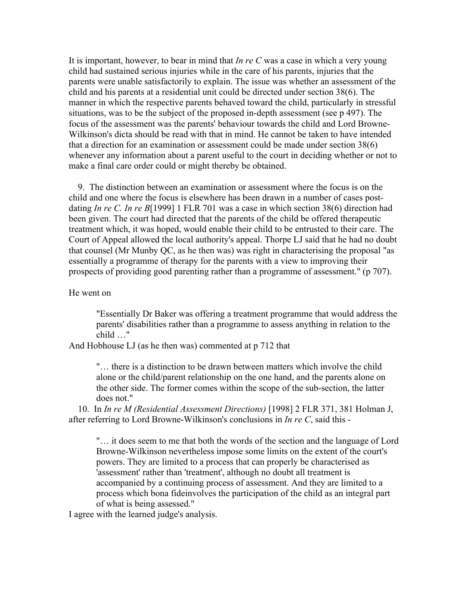It is important, however, to bear in mind that *In re C* was a case in which a very young child had sustained serious injuries while in the care of his parents, injuries that the parents were unable satisfactorily to explain. The issue was whether an assessment of the child and his parents at a residential unit could be directed under section 38(6). The manner in which the respective parents behaved toward the child, particularly in stressful situations, was to be the subject of the proposed in-depth assessment (see p 497). The focus of the assessment was the parents' behaviour towards the child and Lord Browne-Wilkinson's dicta should be read with that in mind. He cannot be taken to have intended that a direction for an examination or assessment could be made under section 38(6) whenever any information about a parent useful to the court in deciding whether or not to make a final care order could or might thereby be obtained.

9. The distinction between an examination or assessment where the focus is on the child and one where the focus is elsewhere has been drawn in a number of cases postdating *In re C. In re B*[1999] 1 FLR 701 was a case in which section 38(6) direction had been given. The court had directed that the parents of the child be offered therapeutic treatment which, it was hoped, would enable their child to be entrusted to their care. The Court of Appeal allowed the local authority's appeal. Thorpe LJ said that he had no doubt that counsel (Mr Munby QC, as he then was) was right in characterising the proposal "as essentially a programme of therapy for the parents with a view to improving their prospects of providing good parenting rather than a programme of assessment." (p 707).

#### He went on

"Essentially Dr Baker was offering a treatment programme that would address the parents' disabilities rather than a programme to assess anything in relation to the child …"

And Hobhouse LJ (as he then was) commented at p 712 that

"… there is a distinction to be drawn between matters which involve the child alone or the child/parent relationship on the one hand, and the parents alone on the other side. The former comes within the scope of the sub-section, the latter does not."

10. In *In re M (Residential Assessment Directions)* [1998] 2 FLR 371, 381 Holman J, after referring to Lord Browne-Wilkinson's conclusions in *In re C*, said this -

"… it does seem to me that both the words of the section and the language of Lord Browne-Wilkinson nevertheless impose some limits on the extent of the court's powers. They are limited to a process that can properly be characterised as 'assessment' rather than 'treatment', although no doubt all treatment is accompanied by a continuing process of assessment. And they are limited to a process which bona fideinvolves the participation of the child as an integral part of what is being assessed."

I agree with the learned judge's analysis.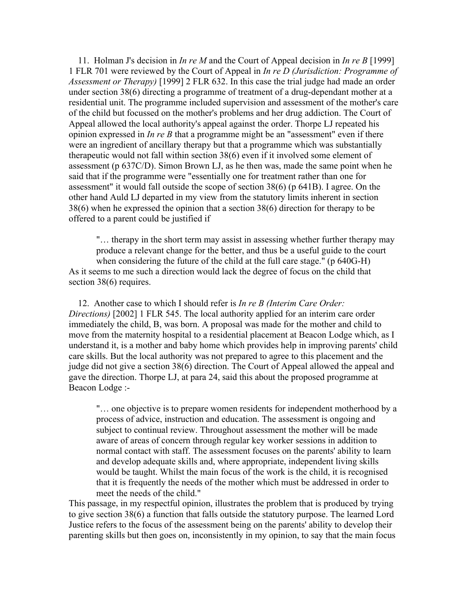11. Holman J's decision in *In re M* and the Court of Appeal decision in *In re B* [1999] 1 FLR 701 were reviewed by the Court of Appeal in *In re D (Jurisdiction: Programme of Assessment or Therapy)* [1999] 2 FLR 632. In this case the trial judge had made an order under section 38(6) directing a programme of treatment of a drug-dependant mother at a residential unit. The programme included supervision and assessment of the mother's care of the child but focussed on the mother's problems and her drug addiction. The Court of Appeal allowed the local authority's appeal against the order. Thorpe LJ repeated his opinion expressed in *In re B* that a programme might be an "assessment" even if there were an ingredient of ancillary therapy but that a programme which was substantially therapeutic would not fall within section 38(6) even if it involved some element of assessment (p 637C/D). Simon Brown LJ, as he then was, made the same point when he said that if the programme were "essentially one for treatment rather than one for assessment" it would fall outside the scope of section 38(6) (p 641B). I agree. On the other hand Auld LJ departed in my view from the statutory limits inherent in section 38(6) when he expressed the opinion that a section 38(6) direction for therapy to be offered to a parent could be justified if

"… therapy in the short term may assist in assessing whether further therapy may produce a relevant change for the better, and thus be a useful guide to the court when considering the future of the child at the full care stage." (p 640G-H) As it seems to me such a direction would lack the degree of focus on the child that section 38(6) requires.

12. Another case to which I should refer is *In re B (Interim Care Order: Directions)* [2002] 1 FLR 545. The local authority applied for an interim care order immediately the child, B, was born. A proposal was made for the mother and child to move from the maternity hospital to a residential placement at Beacon Lodge which, as I understand it, is a mother and baby home which provides help in improving parents' child care skills. But the local authority was not prepared to agree to this placement and the judge did not give a section 38(6) direction. The Court of Appeal allowed the appeal and gave the direction. Thorpe LJ, at para 24, said this about the proposed programme at Beacon Lodge :-

"… one objective is to prepare women residents for independent motherhood by a process of advice, instruction and education. The assessment is ongoing and subject to continual review. Throughout assessment the mother will be made aware of areas of concern through regular key worker sessions in addition to normal contact with staff. The assessment focuses on the parents' ability to learn and develop adequate skills and, where appropriate, independent living skills would be taught. Whilst the main focus of the work is the child, it is recognised that it is frequently the needs of the mother which must be addressed in order to meet the needs of the child."

This passage, in my respectful opinion, illustrates the problem that is produced by trying to give section 38(6) a function that falls outside the statutory purpose. The learned Lord Justice refers to the focus of the assessment being on the parents' ability to develop their parenting skills but then goes on, inconsistently in my opinion, to say that the main focus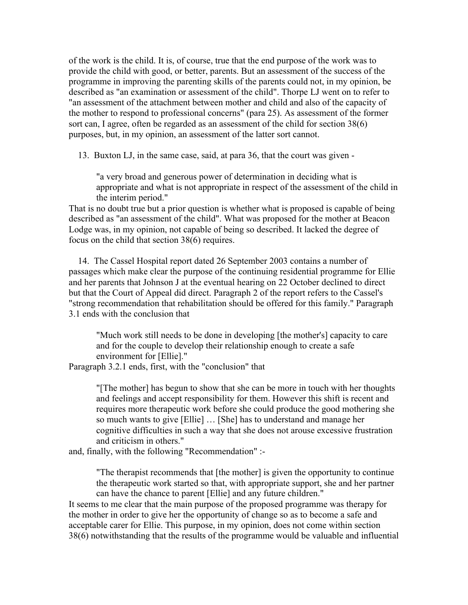of the work is the child. It is, of course, true that the end purpose of the work was to provide the child with good, or better, parents. But an assessment of the success of the programme in improving the parenting skills of the parents could not, in my opinion, be described as "an examination or assessment of the child". Thorpe LJ went on to refer to "an assessment of the attachment between mother and child and also of the capacity of the mother to respond to professional concerns" (para 25). As assessment of the former sort can, I agree, often be regarded as an assessment of the child for section 38(6) purposes, but, in my opinion, an assessment of the latter sort cannot.

13. Buxton LJ, in the same case, said, at para 36, that the court was given -

"a very broad and generous power of determination in deciding what is appropriate and what is not appropriate in respect of the assessment of the child in the interim period."

That is no doubt true but a prior question is whether what is proposed is capable of being described as "an assessment of the child". What was proposed for the mother at Beacon Lodge was, in my opinion, not capable of being so described. It lacked the degree of focus on the child that section 38(6) requires.

14. The Cassel Hospital report dated 26 September 2003 contains a number of passages which make clear the purpose of the continuing residential programme for Ellie and her parents that Johnson J at the eventual hearing on 22 October declined to direct but that the Court of Appeal did direct. Paragraph 2 of the report refers to the Cassel's "strong recommendation that rehabilitation should be offered for this family." Paragraph 3.1 ends with the conclusion that

"Much work still needs to be done in developing [the mother's] capacity to care and for the couple to develop their relationship enough to create a safe environment for [Ellie]."

Paragraph 3.2.1 ends, first, with the "conclusion" that

"[The mother] has begun to show that she can be more in touch with her thoughts and feelings and accept responsibility for them. However this shift is recent and requires more therapeutic work before she could produce the good mothering she so much wants to give [Ellie] … [She] has to understand and manage her cognitive difficulties in such a way that she does not arouse excessive frustration and criticism in others."

and, finally, with the following "Recommendation" :-

"The therapist recommends that [the mother] is given the opportunity to continue the therapeutic work started so that, with appropriate support, she and her partner can have the chance to parent [Ellie] and any future children."

It seems to me clear that the main purpose of the proposed programme was therapy for the mother in order to give her the opportunity of change so as to become a safe and acceptable carer for Ellie. This purpose, in my opinion, does not come within section 38(6) notwithstanding that the results of the programme would be valuable and influential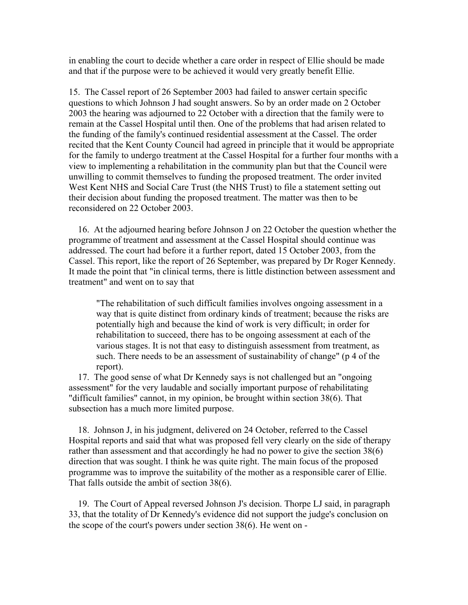in enabling the court to decide whether a care order in respect of Ellie should be made and that if the purpose were to be achieved it would very greatly benefit Ellie.

15. The Cassel report of 26 September 2003 had failed to answer certain specific questions to which Johnson J had sought answers. So by an order made on 2 October 2003 the hearing was adjourned to 22 October with a direction that the family were to remain at the Cassel Hospital until then. One of the problems that had arisen related to the funding of the family's continued residential assessment at the Cassel. The order recited that the Kent County Council had agreed in principle that it would be appropriate for the family to undergo treatment at the Cassel Hospital for a further four months with a view to implementing a rehabilitation in the community plan but that the Council were unwilling to commit themselves to funding the proposed treatment. The order invited West Kent NHS and Social Care Trust (the NHS Trust) to file a statement setting out their decision about funding the proposed treatment. The matter was then to be reconsidered on 22 October 2003.

16. At the adjourned hearing before Johnson J on 22 October the question whether the programme of treatment and assessment at the Cassel Hospital should continue was addressed. The court had before it a further report, dated 15 October 2003, from the Cassel. This report, like the report of 26 September, was prepared by Dr Roger Kennedy. It made the point that "in clinical terms, there is little distinction between assessment and treatment" and went on to say that

"The rehabilitation of such difficult families involves ongoing assessment in a way that is quite distinct from ordinary kinds of treatment; because the risks are potentially high and because the kind of work is very difficult; in order for rehabilitation to succeed, there has to be ongoing assessment at each of the various stages. It is not that easy to distinguish assessment from treatment, as such. There needs to be an assessment of sustainability of change" (p 4 of the report).

17. The good sense of what Dr Kennedy says is not challenged but an "ongoing assessment" for the very laudable and socially important purpose of rehabilitating "difficult families" cannot, in my opinion, be brought within section 38(6). That subsection has a much more limited purpose.

18. Johnson J, in his judgment, delivered on 24 October, referred to the Cassel Hospital reports and said that what was proposed fell very clearly on the side of therapy rather than assessment and that accordingly he had no power to give the section 38(6) direction that was sought. I think he was quite right. The main focus of the proposed programme was to improve the suitability of the mother as a responsible carer of Ellie. That falls outside the ambit of section 38(6).

19. The Court of Appeal reversed Johnson J's decision. Thorpe LJ said, in paragraph 33, that the totality of Dr Kennedy's evidence did not support the judge's conclusion on the scope of the court's powers under section 38(6). He went on -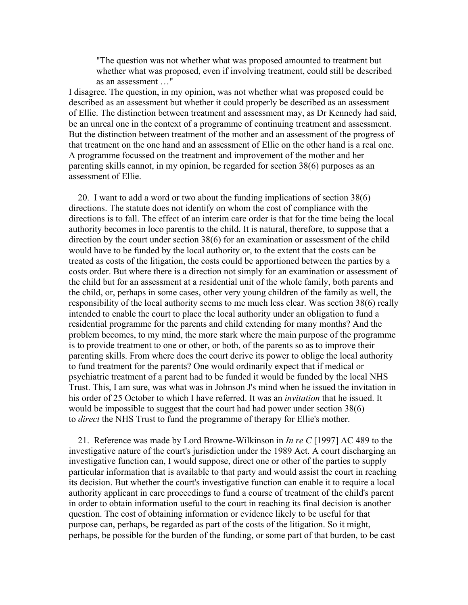"The question was not whether what was proposed amounted to treatment but whether what was proposed, even if involving treatment, could still be described as an assessment …"

I disagree. The question, in my opinion, was not whether what was proposed could be described as an assessment but whether it could properly be described as an assessment of Ellie. The distinction between treatment and assessment may, as Dr Kennedy had said, be an unreal one in the context of a programme of continuing treatment and assessment. But the distinction between treatment of the mother and an assessment of the progress of that treatment on the one hand and an assessment of Ellie on the other hand is a real one. A programme focussed on the treatment and improvement of the mother and her parenting skills cannot, in my opinion, be regarded for section 38(6) purposes as an assessment of Ellie.

20. I want to add a word or two about the funding implications of section 38(6) directions. The statute does not identify on whom the cost of compliance with the directions is to fall. The effect of an interim care order is that for the time being the local authority becomes in loco parentis to the child. It is natural, therefore, to suppose that a direction by the court under section 38(6) for an examination or assessment of the child would have to be funded by the local authority or, to the extent that the costs can be treated as costs of the litigation, the costs could be apportioned between the parties by a costs order. But where there is a direction not simply for an examination or assessment of the child but for an assessment at a residential unit of the whole family, both parents and the child, or, perhaps in some cases, other very young children of the family as well, the responsibility of the local authority seems to me much less clear. Was section 38(6) really intended to enable the court to place the local authority under an obligation to fund a residential programme for the parents and child extending for many months? And the problem becomes, to my mind, the more stark where the main purpose of the programme is to provide treatment to one or other, or both, of the parents so as to improve their parenting skills. From where does the court derive its power to oblige the local authority to fund treatment for the parents? One would ordinarily expect that if medical or psychiatric treatment of a parent had to be funded it would be funded by the local NHS Trust. This, I am sure, was what was in Johnson J's mind when he issued the invitation in his order of 25 October to which I have referred. It was an *invitation* that he issued. It would be impossible to suggest that the court had had power under section 38(6) to *direct* the NHS Trust to fund the programme of therapy for Ellie's mother.

21. Reference was made by Lord Browne-Wilkinson in *In re C* [1997] AC 489 to the investigative nature of the court's jurisdiction under the 1989 Act. A court discharging an investigative function can, I would suppose, direct one or other of the parties to supply particular information that is available to that party and would assist the court in reaching its decision. But whether the court's investigative function can enable it to require a local authority applicant in care proceedings to fund a course of treatment of the child's parent in order to obtain information useful to the court in reaching its final decision is another question. The cost of obtaining information or evidence likely to be useful for that purpose can, perhaps, be regarded as part of the costs of the litigation. So it might, perhaps, be possible for the burden of the funding, or some part of that burden, to be cast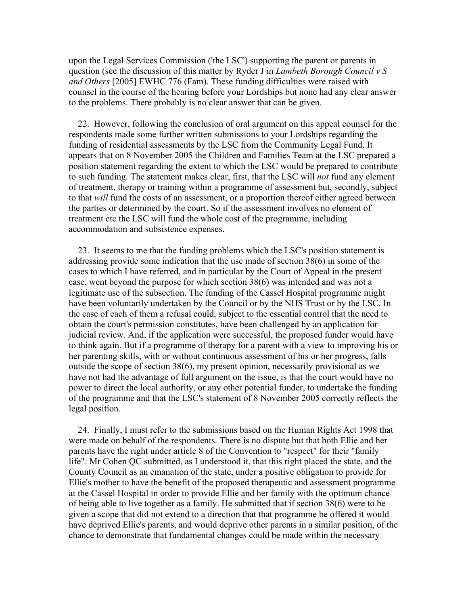upon the Legal Services Commission ('the LSC') supporting the parent or parents in question (see the discussion of this matter by Ryder J in *Lambeth Borough Council v S and Others* [2005] EWHC 776 (Fam). These funding difficulties were raised with counsel in the course of the hearing before your Lordships but none had any clear answer to the problems. There probably is no clear answer that can be given.

22. However, following the conclusion of oral argument on this appeal counsel for the respondents made some further written submissions to your Lordships regarding the funding of residential assessments by the LSC from the Community Legal Fund. It appears that on 8 November 2005 the Children and Families Team at the LSC prepared a position statement regarding the extent to which the LSC would be prepared to contribute to such funding. The statement makes clear, first, that the LSC will *not* fund any element of treatment, therapy or training within a programme of assessment but, secondly, subject to that *will* fund the costs of an assessment, or a proportion thereof either agreed between the parties or determined by the court. So if the assessment involves no element of treatment etc the LSC will fund the whole cost of the programme, including accommodation and subsistence expenses.

23. It seems to me that the funding problems which the LSC's position statement is addressing provide some indication that the use made of section 38(6) in some of the cases to which I have referred, and in particular by the Court of Appeal in the present case, went beyond the purpose for which section 38(6) was intended and was not a legitimate use of the subsection. The funding of the Cassel Hospital programme might have been voluntarily undertaken by the Council or by the NHS Trust or by the LSC. In the case of each of them a refusal could, subject to the essential control that the need to obtain the court's permission constitutes, have been challenged by an application for judicial review. And, if the application were successful, the proposed funder would have to think again. But if a programme of therapy for a parent with a view to improving his or her parenting skills, with or without continuous assessment of his or her progress, falls outside the scope of section 38(6), my present opinion, necessarily provisional as we have not had the advantage of full argument on the issue, is that the court would have no power to direct the local authority, or any other potential funder, to undertake the funding of the programme and that the LSC's statement of 8 November 2005 correctly reflects the legal position.

24. Finally, I must refer to the submissions based on the Human Rights Act 1998 that were made on behalf of the respondents. There is no dispute but that both Ellie and her parents have the right under article 8 of the Convention to "respect" for their "family life". Mr Cohen QC submitted, as I understood it, that this right placed the state, and the County Council as an emanation of the state, under a positive obligation to provide for Ellie's mother to have the benefit of the proposed therapeutic and assessment programme at the Cassel Hospital in order to provide Ellie and her family with the optimum chance of being able to live together as a family. He submitted that if section 38(6) were to be given a scope that did not extend to a direction that that programme be offered it would have deprived Ellie's parents, and would deprive other parents in a similar position, of the chance to demonstrate that fundamental changes could be made within the necessary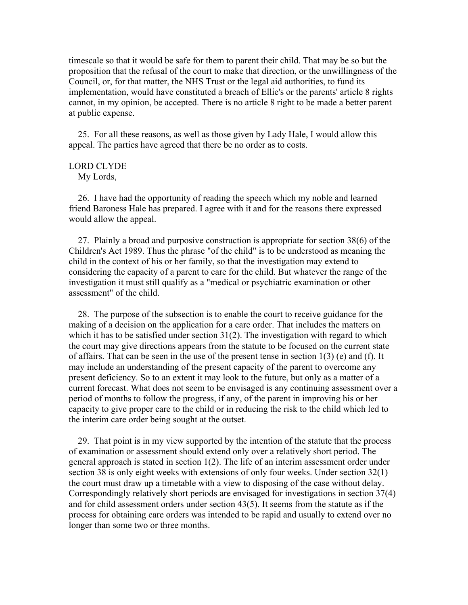timescale so that it would be safe for them to parent their child. That may be so but the proposition that the refusal of the court to make that direction, or the unwillingness of the Council, or, for that matter, the NHS Trust or the legal aid authorities, to fund its implementation, would have constituted a breach of Ellie's or the parents' article 8 rights cannot, in my opinion, be accepted. There is no article 8 right to be made a better parent at public expense.

25. For all these reasons, as well as those given by Lady Hale, I would allow this appeal. The parties have agreed that there be no order as to costs.

### LORD CLYDE

My Lords,

26. I have had the opportunity of reading the speech which my noble and learned friend Baroness Hale has prepared. I agree with it and for the reasons there expressed would allow the appeal.

27. Plainly a broad and purposive construction is appropriate for section 38(6) of the Children's Act 1989. Thus the phrase "of the child" is to be understood as meaning the child in the context of his or her family, so that the investigation may extend to considering the capacity of a parent to care for the child. But whatever the range of the investigation it must still qualify as a "medical or psychiatric examination or other assessment" of the child.

28. The purpose of the subsection is to enable the court to receive guidance for the making of a decision on the application for a care order. That includes the matters on which it has to be satisfied under section 31(2). The investigation with regard to which the court may give directions appears from the statute to be focused on the current state of affairs. That can be seen in the use of the present tense in section 1(3) (e) and (f). It may include an understanding of the present capacity of the parent to overcome any present deficiency. So to an extent it may look to the future, but only as a matter of a current forecast. What does not seem to be envisaged is any continuing assessment over a period of months to follow the progress, if any, of the parent in improving his or her capacity to give proper care to the child or in reducing the risk to the child which led to the interim care order being sought at the outset.

29. That point is in my view supported by the intention of the statute that the process of examination or assessment should extend only over a relatively short period. The general approach is stated in section 1(2). The life of an interim assessment order under section 38 is only eight weeks with extensions of only four weeks. Under section 32(1) the court must draw up a timetable with a view to disposing of the case without delay. Correspondingly relatively short periods are envisaged for investigations in section 37(4) and for child assessment orders under section 43(5). It seems from the statute as if the process for obtaining care orders was intended to be rapid and usually to extend over no longer than some two or three months.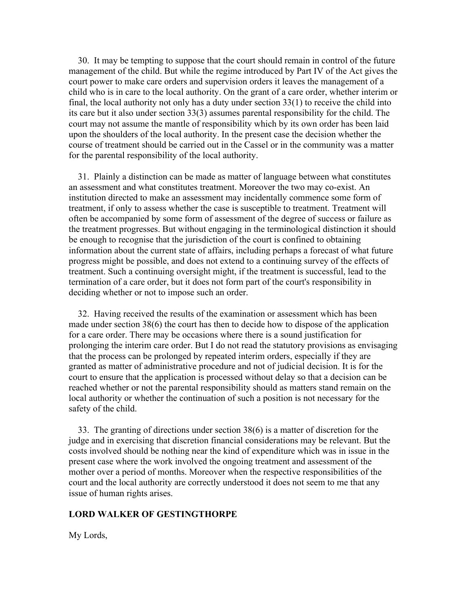30. It may be tempting to suppose that the court should remain in control of the future management of the child. But while the regime introduced by Part IV of the Act gives the court power to make care orders and supervision orders it leaves the management of a child who is in care to the local authority. On the grant of a care order, whether interim or final, the local authority not only has a duty under section 33(1) to receive the child into its care but it also under section 33(3) assumes parental responsibility for the child. The court may not assume the mantle of responsibility which by its own order has been laid upon the shoulders of the local authority. In the present case the decision whether the course of treatment should be carried out in the Cassel or in the community was a matter for the parental responsibility of the local authority.

31. Plainly a distinction can be made as matter of language between what constitutes an assessment and what constitutes treatment. Moreover the two may co-exist. An institution directed to make an assessment may incidentally commence some form of treatment, if only to assess whether the case is susceptible to treatment. Treatment will often be accompanied by some form of assessment of the degree of success or failure as the treatment progresses. But without engaging in the terminological distinction it should be enough to recognise that the jurisdiction of the court is confined to obtaining information about the current state of affairs, including perhaps a forecast of what future progress might be possible, and does not extend to a continuing survey of the effects of treatment. Such a continuing oversight might, if the treatment is successful, lead to the termination of a care order, but it does not form part of the court's responsibility in deciding whether or not to impose such an order.

32. Having received the results of the examination or assessment which has been made under section 38(6) the court has then to decide how to dispose of the application for a care order. There may be occasions where there is a sound justification for prolonging the interim care order. But I do not read the statutory provisions as envisaging that the process can be prolonged by repeated interim orders, especially if they are granted as matter of administrative procedure and not of judicial decision. It is for the court to ensure that the application is processed without delay so that a decision can be reached whether or not the parental responsibility should as matters stand remain on the local authority or whether the continuation of such a position is not necessary for the safety of the child.

33. The granting of directions under section 38(6) is a matter of discretion for the judge and in exercising that discretion financial considerations may be relevant. But the costs involved should be nothing near the kind of expenditure which was in issue in the present case where the work involved the ongoing treatment and assessment of the mother over a period of months. Moreover when the respective responsibilities of the court and the local authority are correctly understood it does not seem to me that any issue of human rights arises.

### **LORD WALKER OF GESTINGTHORPE**

My Lords,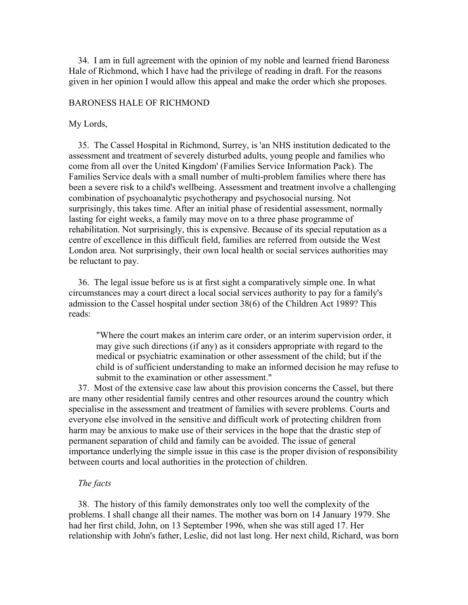34. I am in full agreement with the opinion of my noble and learned friend Baroness Hale of Richmond, which I have had the privilege of reading in draft. For the reasons given in her opinion I would allow this appeal and make the order which she proposes.

### BARONESS HALE OF RICHMOND

#### My Lords,

35. The Cassel Hospital in Richmond, Surrey, is 'an NHS institution dedicated to the assessment and treatment of severely disturbed adults, young people and families who come from all over the United Kingdom' (Families Service Information Pack). The Families Service deals with a small number of multi-problem families where there has been a severe risk to a child's wellbeing. Assessment and treatment involve a challenging combination of psychoanalytic psychotherapy and psychosocial nursing. Not surprisingly, this takes time. After an initial phase of residential assessment, normally lasting for eight weeks, a family may move on to a three phase programme of rehabilitation. Not surprisingly, this is expensive. Because of its special reputation as a centre of excellence in this difficult field, families are referred from outside the West London area. Not surprisingly, their own local health or social services authorities may be reluctant to pay.

36. The legal issue before us is at first sight a comparatively simple one. In what circumstances may a court direct a local social services authority to pay for a family's admission to the Cassel hospital under section 38(6) of the Children Act 1989? This reads:

"Where the court makes an interim care order, or an interim supervision order, it may give such directions (if any) as it considers appropriate with regard to the medical or psychiatric examination or other assessment of the child; but if the child is of sufficient understanding to make an informed decision he may refuse to submit to the examination or other assessment."

37. Most of the extensive case law about this provision concerns the Cassel, but there are many other residential family centres and other resources around the country which specialise in the assessment and treatment of families with severe problems. Courts and everyone else involved in the sensitive and difficult work of protecting children from harm may be anxious to make use of their services in the hope that the drastic step of permanent separation of child and family can be avoided. The issue of general importance underlying the simple issue in this case is the proper division of responsibility between courts and local authorities in the protection of children.

### *The facts*

38. The history of this family demonstrates only too well the complexity of the problems. I shall change all their names. The mother was born on 14 January 1979. She had her first child, John, on 13 September 1996, when she was still aged 17. Her relationship with John's father, Leslie, did not last long. Her next child, Richard, was born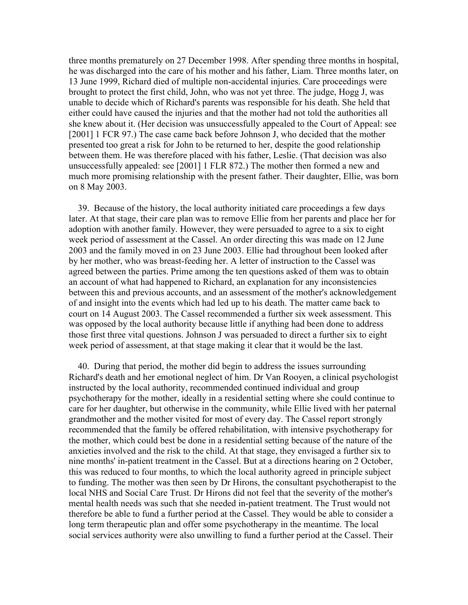three months prematurely on 27 December 1998. After spending three months in hospital, he was discharged into the care of his mother and his father, Liam. Three months later, on 13 June 1999, Richard died of multiple non-accidental injuries. Care proceedings were brought to protect the first child, John, who was not yet three. The judge, Hogg J, was unable to decide which of Richard's parents was responsible for his death. She held that either could have caused the injuries and that the mother had not told the authorities all she knew about it. (Her decision was unsuccessfully appealed to the Court of Appeal: see [2001] 1 FCR 97.) The case came back before Johnson J, who decided that the mother presented too great a risk for John to be returned to her, despite the good relationship between them. He was therefore placed with his father, Leslie. (That decision was also unsuccessfully appealed: see [2001] 1 FLR 872.) The mother then formed a new and much more promising relationship with the present father. Their daughter, Ellie, was born on 8 May 2003.

39. Because of the history, the local authority initiated care proceedings a few days later. At that stage, their care plan was to remove Ellie from her parents and place her for adoption with another family. However, they were persuaded to agree to a six to eight week period of assessment at the Cassel. An order directing this was made on 12 June 2003 and the family moved in on 23 June 2003. Ellie had throughout been looked after by her mother, who was breast-feeding her. A letter of instruction to the Cassel was agreed between the parties. Prime among the ten questions asked of them was to obtain an account of what had happened to Richard, an explanation for any inconsistencies between this and previous accounts, and an assessment of the mother's acknowledgement of and insight into the events which had led up to his death. The matter came back to court on 14 August 2003. The Cassel recommended a further six week assessment. This was opposed by the local authority because little if anything had been done to address those first three vital questions. Johnson J was persuaded to direct a further six to eight week period of assessment, at that stage making it clear that it would be the last.

40. During that period, the mother did begin to address the issues surrounding Richard's death and her emotional neglect of him. Dr Van Rooyen, a clinical psychologist instructed by the local authority, recommended continued individual and group psychotherapy for the mother, ideally in a residential setting where she could continue to care for her daughter, but otherwise in the community, while Ellie lived with her paternal grandmother and the mother visited for most of every day. The Cassel report strongly recommended that the family be offered rehabilitation, with intensive psychotherapy for the mother, which could best be done in a residential setting because of the nature of the anxieties involved and the risk to the child. At that stage, they envisaged a further six to nine months' in-patient treatment in the Cassel. But at a directions hearing on 2 October, this was reduced to four months, to which the local authority agreed in principle subject to funding. The mother was then seen by Dr Hirons, the consultant psychotherapist to the local NHS and Social Care Trust. Dr Hirons did not feel that the severity of the mother's mental health needs was such that she needed in-patient treatment. The Trust would not therefore be able to fund a further period at the Cassel. They would be able to consider a long term therapeutic plan and offer some psychotherapy in the meantime. The local social services authority were also unwilling to fund a further period at the Cassel. Their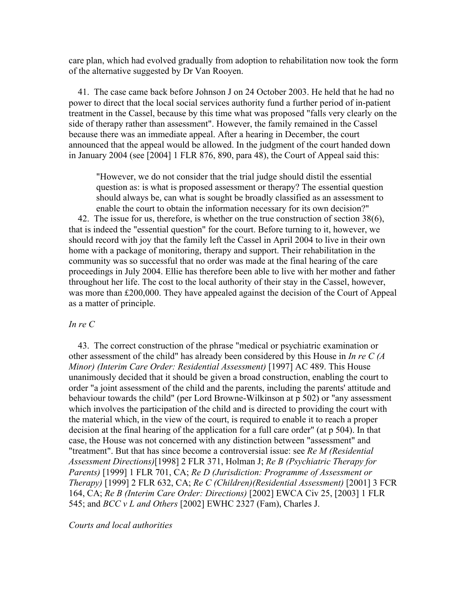care plan, which had evolved gradually from adoption to rehabilitation now took the form of the alternative suggested by Dr Van Rooyen.

41. The case came back before Johnson J on 24 October 2003. He held that he had no power to direct that the local social services authority fund a further period of in-patient treatment in the Cassel, because by this time what was proposed "falls very clearly on the side of therapy rather than assessment". However, the family remained in the Cassel because there was an immediate appeal. After a hearing in December, the court announced that the appeal would be allowed. In the judgment of the court handed down in January 2004 (see [2004] 1 FLR 876, 890, para 48), the Court of Appeal said this:

"However, we do not consider that the trial judge should distil the essential question as: is what is proposed assessment or therapy? The essential question should always be, can what is sought be broadly classified as an assessment to enable the court to obtain the information necessary for its own decision?" 42. The issue for us, therefore, is whether on the true construction of section 38(6), that is indeed the "essential question" for the court. Before turning to it, however, we should record with joy that the family left the Cassel in April 2004 to live in their own home with a package of monitoring, therapy and support. Their rehabilitation in the community was so successful that no order was made at the final hearing of the care proceedings in July 2004. Ellie has therefore been able to live with her mother and father

throughout her life. The cost to the local authority of their stay in the Cassel, however, was more than £200,000. They have appealed against the decision of the Court of Appeal as a matter of principle.

## *In re C*

43. The correct construction of the phrase "medical or psychiatric examination or other assessment of the child" has already been considered by this House in *In re C (A Minor) (Interim Care Order: Residential Assessment)* [1997] AC 489. This House unanimously decided that it should be given a broad construction, enabling the court to order "a joint assessment of the child and the parents, including the parents' attitude and behaviour towards the child" (per Lord Browne-Wilkinson at p 502) or "any assessment which involves the participation of the child and is directed to providing the court with the material which, in the view of the court, is required to enable it to reach a proper decision at the final hearing of the application for a full care order" (at p 504). In that case, the House was not concerned with any distinction between "assessment" and "treatment". But that has since become a controversial issue: see *Re M (Residential Assessment Directions)*[1998] 2 FLR 371, Holman J; *Re B (Psychiatric Therapy for Parents)* [1999] 1 FLR 701, CA; *Re D (Jurisdiction: Programme of Assessment or Therapy)* [1999] 2 FLR 632, CA; *Re C (Children)(Residential Assessment)* [2001] 3 FCR 164, CA; *Re B (Interim Care Order: Directions)* [2002] EWCA Civ 25, [2003] 1 FLR 545; and *BCC v L and Others* [2002] EWHC 2327 (Fam), Charles J.

*Courts and local authorities*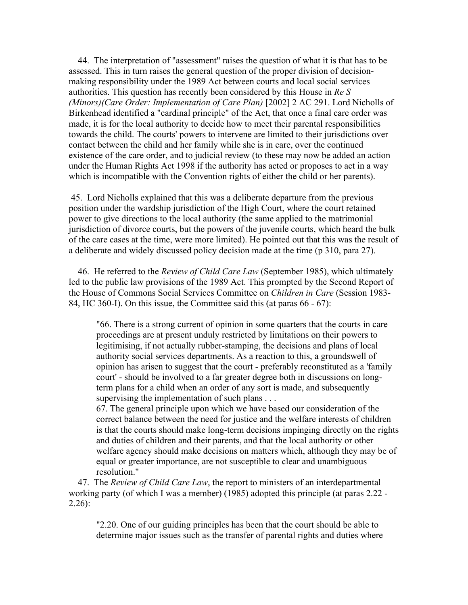44. The interpretation of "assessment" raises the question of what it is that has to be assessed. This in turn raises the general question of the proper division of decisionmaking responsibility under the 1989 Act between courts and local social services authorities. This question has recently been considered by this House in *Re S (Minors)(Care Order: Implementation of Care Plan)* [2002] 2 AC 291. Lord Nicholls of Birkenhead identified a "cardinal principle" of the Act, that once a final care order was made, it is for the local authority to decide how to meet their parental responsibilities towards the child. The courts' powers to intervene are limited to their jurisdictions over contact between the child and her family while she is in care, over the continued existence of the care order, and to judicial review (to these may now be added an action under the Human Rights Act 1998 if the authority has acted or proposes to act in a way which is incompatible with the Convention rights of either the child or her parents).

45. Lord Nicholls explained that this was a deliberate departure from the previous position under the wardship jurisdiction of the High Court, where the court retained power to give directions to the local authority (the same applied to the matrimonial jurisdiction of divorce courts, but the powers of the juvenile courts, which heard the bulk of the care cases at the time, were more limited). He pointed out that this was the result of a deliberate and widely discussed policy decision made at the time (p 310, para 27).

46. He referred to the *Review of Child Care Law* (September 1985), which ultimately led to the public law provisions of the 1989 Act. This prompted by the Second Report of the House of Commons Social Services Committee on *Children in Care* (Session 1983- 84, HC 360-I). On this issue, the Committee said this (at paras 66 - 67):

"66. There is a strong current of opinion in some quarters that the courts in care proceedings are at present unduly restricted by limitations on their powers to legitimising, if not actually rubber-stamping, the decisions and plans of local authority social services departments. As a reaction to this, a groundswell of opinion has arisen to suggest that the court - preferably reconstituted as a 'family court' - should be involved to a far greater degree both in discussions on longterm plans for a child when an order of any sort is made, and subsequently supervising the implementation of such plans . . .

67. The general principle upon which we have based our consideration of the correct balance between the need for justice and the welfare interests of children is that the courts should make long-term decisions impinging directly on the rights and duties of children and their parents, and that the local authority or other welfare agency should make decisions on matters which, although they may be of equal or greater importance, are not susceptible to clear and unambiguous resolution."

47. The *Review of Child Care Law*, the report to ministers of an interdepartmental working party (of which I was a member) (1985) adopted this principle (at paras 2.22 -  $2.26$ :

"2.20. One of our guiding principles has been that the court should be able to determine major issues such as the transfer of parental rights and duties where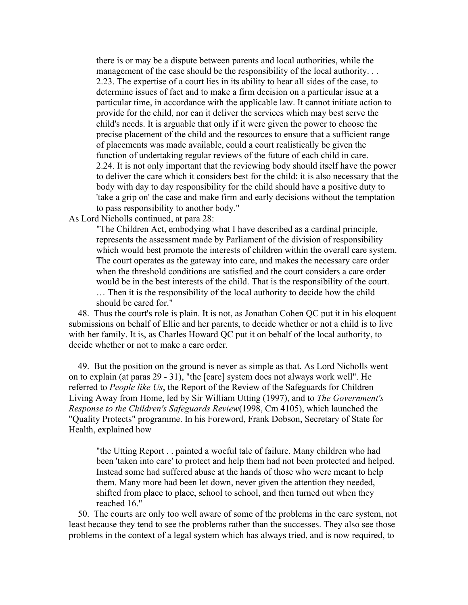there is or may be a dispute between parents and local authorities, while the management of the case should be the responsibility of the local authority... 2.23. The expertise of a court lies in its ability to hear all sides of the case, to determine issues of fact and to make a firm decision on a particular issue at a particular time, in accordance with the applicable law. It cannot initiate action to provide for the child, nor can it deliver the services which may best serve the child's needs. It is arguable that only if it were given the power to choose the precise placement of the child and the resources to ensure that a sufficient range of placements was made available, could a court realistically be given the function of undertaking regular reviews of the future of each child in care. 2.24. It is not only important that the reviewing body should itself have the power to deliver the care which it considers best for the child: it is also necessary that the body with day to day responsibility for the child should have a positive duty to 'take a grip on' the case and make firm and early decisions without the temptation to pass responsibility to another body."

As Lord Nicholls continued, at para 28:

"The Children Act, embodying what I have described as a cardinal principle, represents the assessment made by Parliament of the division of responsibility which would best promote the interests of children within the overall care system. The court operates as the gateway into care, and makes the necessary care order when the threshold conditions are satisfied and the court considers a care order would be in the best interests of the child. That is the responsibility of the court. … Then it is the responsibility of the local authority to decide how the child should be cared for."

48. Thus the court's role is plain. It is not, as Jonathan Cohen QC put it in his eloquent submissions on behalf of Ellie and her parents, to decide whether or not a child is to live with her family. It is, as Charles Howard QC put it on behalf of the local authority, to decide whether or not to make a care order.

49. But the position on the ground is never as simple as that. As Lord Nicholls went on to explain (at paras 29 - 31), "the [care] system does not always work well". He referred to *People like Us*, the Report of the Review of the Safeguards for Children Living Away from Home, led by Sir William Utting (1997), and to *The Government's Response to the Children's Safeguards Review*(1998, Cm 4105), which launched the "Quality Protects" programme. In his Foreword, Frank Dobson, Secretary of State for Health, explained how

"the Utting Report . . painted a woeful tale of failure. Many children who had been 'taken into care' to protect and help them had not been protected and helped. Instead some had suffered abuse at the hands of those who were meant to help them. Many more had been let down, never given the attention they needed, shifted from place to place, school to school, and then turned out when they reached 16."

50. The courts are only too well aware of some of the problems in the care system, not least because they tend to see the problems rather than the successes. They also see those problems in the context of a legal system which has always tried, and is now required, to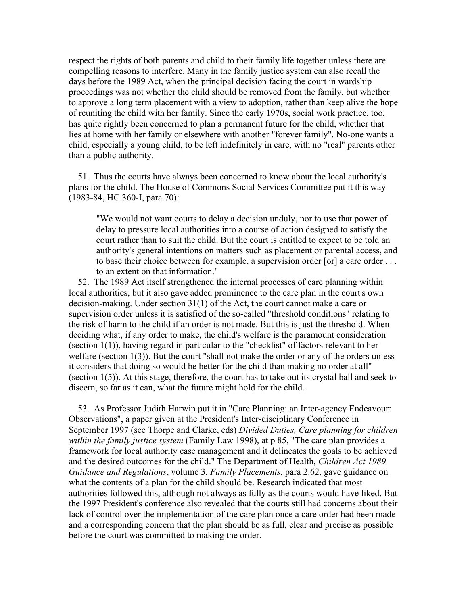respect the rights of both parents and child to their family life together unless there are compelling reasons to interfere. Many in the family justice system can also recall the days before the 1989 Act, when the principal decision facing the court in wardship proceedings was not whether the child should be removed from the family, but whether to approve a long term placement with a view to adoption, rather than keep alive the hope of reuniting the child with her family. Since the early 1970s, social work practice, too, has quite rightly been concerned to plan a permanent future for the child, whether that lies at home with her family or elsewhere with another "forever family". No-one wants a child, especially a young child, to be left indefinitely in care, with no "real" parents other than a public authority.

51. Thus the courts have always been concerned to know about the local authority's plans for the child. The House of Commons Social Services Committee put it this way (1983-84, HC 360-I, para 70):

"We would not want courts to delay a decision unduly, nor to use that power of delay to pressure local authorities into a course of action designed to satisfy the court rather than to suit the child. But the court is entitled to expect to be told an authority's general intentions on matters such as placement or parental access, and to base their choice between for example, a supervision order [or] a care order . . . to an extent on that information."

52. The 1989 Act itself strengthened the internal processes of care planning within local authorities, but it also gave added prominence to the care plan in the court's own decision-making. Under section 31(1) of the Act, the court cannot make a care or supervision order unless it is satisfied of the so-called "threshold conditions" relating to the risk of harm to the child if an order is not made. But this is just the threshold. When deciding what, if any order to make, the child's welfare is the paramount consideration (section 1(1)), having regard in particular to the "checklist" of factors relevant to her welfare (section  $1(3)$ ). But the court "shall not make the order or any of the orders unless it considers that doing so would be better for the child than making no order at all" (section 1(5)). At this stage, therefore, the court has to take out its crystal ball and seek to discern, so far as it can, what the future might hold for the child.

53. As Professor Judith Harwin put it in "Care Planning: an Inter-agency Endeavour: Observations", a paper given at the President's Inter-disciplinary Conference in September 1997 (see Thorpe and Clarke, eds) *Divided Duties, Care planning for children within the family justice system* (Family Law 1998), at p 85, "The care plan provides a framework for local authority case management and it delineates the goals to be achieved and the desired outcomes for the child." The Department of Health, *Children Act 1989 Guidance and Regulations*, volume 3, *Family Placements*, para 2.62, gave guidance on what the contents of a plan for the child should be. Research indicated that most authorities followed this, although not always as fully as the courts would have liked. But the 1997 President's conference also revealed that the courts still had concerns about their lack of control over the implementation of the care plan once a care order had been made and a corresponding concern that the plan should be as full, clear and precise as possible before the court was committed to making the order.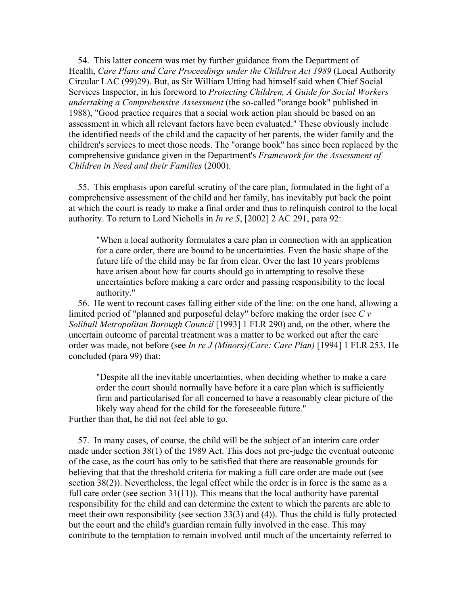54. This latter concern was met by further guidance from the Department of Health, *Care Plans and Care Proceedings under the Children Act 1989* (Local Authority Circular LAC (99)29). But, as Sir William Utting had himself said when Chief Social Services Inspector, in his foreword to *Protecting Children, A Guide for Social Workers undertaking a Comprehensive Assessment* (the so-called "orange book" published in 1988), "Good practice requires that a social work action plan should be based on an assessment in which all relevant factors have been evaluated." These obviously include the identified needs of the child and the capacity of her parents, the wider family and the children's services to meet those needs. The "orange book" has since been replaced by the comprehensive guidance given in the Department's *Framework for the Assessment of Children in Need and their Families* (2000).

55. This emphasis upon careful scrutiny of the care plan, formulated in the light of a comprehensive assessment of the child and her family, has inevitably put back the point at which the court is ready to make a final order and thus to relinquish control to the local authority. To return to Lord Nicholls in *In re S*, [2002] 2 AC 291, para 92:

"When a local authority formulates a care plan in connection with an application for a care order, there are bound to be uncertainties. Even the basic shape of the future life of the child may be far from clear. Over the last 10 years problems have arisen about how far courts should go in attempting to resolve these uncertainties before making a care order and passing responsibility to the local authority."

56. He went to recount cases falling either side of the line: on the one hand, allowing a limited period of "planned and purposeful delay" before making the order (see *C v Solihull Metropolitan Borough Council* [1993] 1 FLR 290) and, on the other, where the uncertain outcome of parental treatment was a matter to be worked out after the care order was made, not before (see *In re J (Minors)(Care: Care Plan)* [1994] 1 FLR 253. He concluded (para 99) that:

"Despite all the inevitable uncertainties, when deciding whether to make a care order the court should normally have before it a care plan which is sufficiently firm and particularised for all concerned to have a reasonably clear picture of the likely way ahead for the child for the foreseeable future."

Further than that, he did not feel able to go.

57. In many cases, of course, the child will be the subject of an interim care order made under section 38(1) of the 1989 Act. This does not pre-judge the eventual outcome of the case, as the court has only to be satisfied that there are reasonable grounds for believing that that the threshold criteria for making a full care order are made out (see section 38(2)). Nevertheless, the legal effect while the order is in force is the same as a full care order (see section 31(11)). This means that the local authority have parental responsibility for the child and can determine the extent to which the parents are able to meet their own responsibility (see section 33(3) and (4)). Thus the child is fully protected but the court and the child's guardian remain fully involved in the case. This may contribute to the temptation to remain involved until much of the uncertainty referred to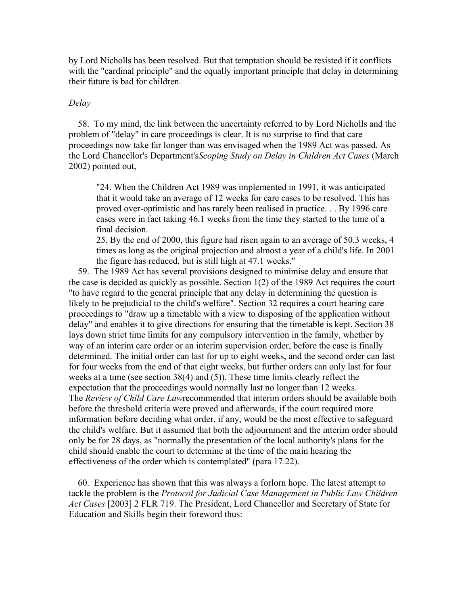by Lord Nicholls has been resolved. But that temptation should be resisted if it conflicts with the "cardinal principle" and the equally important principle that delay in determining their future is bad for children.

#### *Delay*

58. To my mind, the link between the uncertainty referred to by Lord Nicholls and the problem of "delay" in care proceedings is clear. It is no surprise to find that care proceedings now take far longer than was envisaged when the 1989 Act was passed. As the Lord Chancellor's Department's*Scoping Study on Delay in Children Act Cases* (March 2002) pointed out,

"24. When the Children Act 1989 was implemented in 1991, it was anticipated that it would take an average of 12 weeks for care cases to be resolved. This has proved over-optimistic and has rarely been realised in practice. . . By 1996 care cases were in fact taking 46.1 weeks from the time they started to the time of a final decision.

25. By the end of 2000, this figure had risen again to an average of 50.3 weeks, 4 times as long as the original projection and almost a year of a child's life. In 2001 the figure has reduced, but is still high at 47.1 weeks."

59. The 1989 Act has several provisions designed to minimise delay and ensure that the case is decided as quickly as possible. Section 1(2) of the 1989 Act requires the court "to have regard to the general principle that any delay in determining the question is likely to be prejudicial to the child's welfare". Section 32 requires a court hearing care proceedings to "draw up a timetable with a view to disposing of the application without delay" and enables it to give directions for ensuring that the timetable is kept. Section 38 lays down strict time limits for any compulsory intervention in the family, whether by way of an interim care order or an interim supervision order, before the case is finally determined. The initial order can last for up to eight weeks, and the second order can last for four weeks from the end of that eight weeks, but further orders can only last for four weeks at a time (see section 38(4) and (5)). These time limits clearly reflect the expectation that the proceedings would normally last no longer than 12 weeks. The *Review of Child Care Law*recommended that interim orders should be available both before the threshold criteria were proved and afterwards, if the court required more information before deciding what order, if any, would be the most effective to safeguard the child's welfare. But it assumed that both the adjournment and the interim order should only be for 28 days, as "normally the presentation of the local authority's plans for the child should enable the court to determine at the time of the main hearing the effectiveness of the order which is contemplated" (para 17.22).

60. Experience has shown that this was always a forlorn hope. The latest attempt to tackle the problem is the *Protocol for Judicial Case Management in Public Law Children Act Cases* [2003] 2 FLR 719. The President, Lord Chancellor and Secretary of State for Education and Skills begin their foreword thus: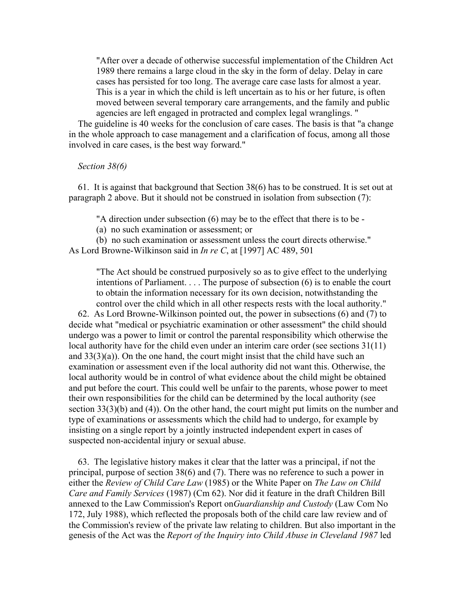"After over a decade of otherwise successful implementation of the Children Act 1989 there remains a large cloud in the sky in the form of delay. Delay in care cases has persisted for too long. The average care case lasts for almost a year. This is a year in which the child is left uncertain as to his or her future, is often moved between several temporary care arrangements, and the family and public agencies are left engaged in protracted and complex legal wranglings. "

The guideline is 40 weeks for the conclusion of care cases. The basis is that "a change in the whole approach to case management and a clarification of focus, among all those involved in care cases, is the best way forward."

#### *Section 38(6)*

61. It is against that background that Section 38(6) has to be construed. It is set out at paragraph 2 above. But it should not be construed in isolation from subsection (7):

"A direction under subsection (6) may be to the effect that there is to be -

(a) no such examination or assessment; or

(b) no such examination or assessment unless the court directs otherwise." As Lord Browne-Wilkinson said in *In re C*, at [1997] AC 489, 501

"The Act should be construed purposively so as to give effect to the underlying intentions of Parliament. . . . The purpose of subsection (6) is to enable the court to obtain the information necessary for its own decision, notwithstanding the control over the child which in all other respects rests with the local authority."

62. As Lord Browne-Wilkinson pointed out, the power in subsections (6) and (7) to decide what "medical or psychiatric examination or other assessment" the child should undergo was a power to limit or control the parental responsibility which otherwise the local authority have for the child even under an interim care order (see sections 31(11) and  $33(3)(a)$ ). On the one hand, the court might insist that the child have such an examination or assessment even if the local authority did not want this. Otherwise, the local authority would be in control of what evidence about the child might be obtained and put before the court. This could well be unfair to the parents, whose power to meet their own responsibilities for the child can be determined by the local authority (see section 33(3)(b) and (4)). On the other hand, the court might put limits on the number and type of examinations or assessments which the child had to undergo, for example by insisting on a single report by a jointly instructed independent expert in cases of suspected non-accidental injury or sexual abuse.

63. The legislative history makes it clear that the latter was a principal, if not the principal, purpose of section 38(6) and (7). There was no reference to such a power in either the *Review of Child Care Law* (1985) or the White Paper on *The Law on Child Care and Family Services* (1987) (Cm 62). Nor did it feature in the draft Children Bill annexed to the Law Commission's Report on*Guardianship and Custody* (Law Com No 172, July 1988), which reflected the proposals both of the child care law review and of the Commission's review of the private law relating to children. But also important in the genesis of the Act was the *Report of the Inquiry into Child Abuse in Cleveland 1987* led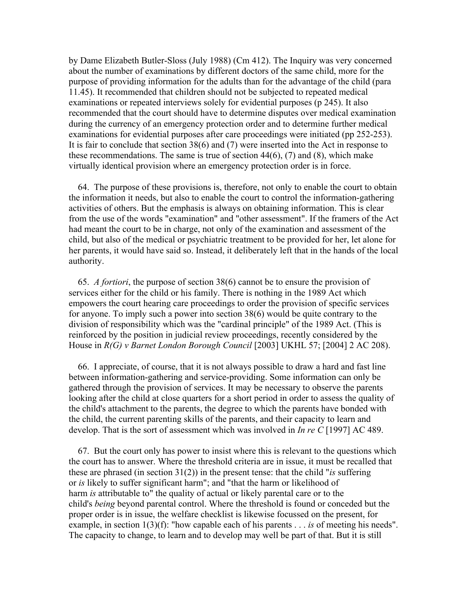by Dame Elizabeth Butler-Sloss (July 1988) (Cm 412). The Inquiry was very concerned about the number of examinations by different doctors of the same child, more for the purpose of providing information for the adults than for the advantage of the child (para 11.45). It recommended that children should not be subjected to repeated medical examinations or repeated interviews solely for evidential purposes (p 245). It also recommended that the court should have to determine disputes over medical examination during the currency of an emergency protection order and to determine further medical examinations for evidential purposes after care proceedings were initiated (pp 252-253). It is fair to conclude that section 38(6) and (7) were inserted into the Act in response to these recommendations. The same is true of section  $44(6)$ ,  $(7)$  and  $(8)$ , which make virtually identical provision where an emergency protection order is in force.

64. The purpose of these provisions is, therefore, not only to enable the court to obtain the information it needs, but also to enable the court to control the information-gathering activities of others. But the emphasis is always on obtaining information. This is clear from the use of the words "examination" and "other assessment". If the framers of the Act had meant the court to be in charge, not only of the examination and assessment of the child, but also of the medical or psychiatric treatment to be provided for her, let alone for her parents, it would have said so. Instead, it deliberately left that in the hands of the local authority.

65. *A fortiori*, the purpose of section 38(6) cannot be to ensure the provision of services either for the child or his family. There is nothing in the 1989 Act which empowers the court hearing care proceedings to order the provision of specific services for anyone. To imply such a power into section 38(6) would be quite contrary to the division of responsibility which was the "cardinal principle" of the 1989 Act. (This is reinforced by the position in judicial review proceedings, recently considered by the House in *R(G) v Barnet London Borough Council* [2003] UKHL 57; [2004] 2 AC 208).

66. I appreciate, of course, that it is not always possible to draw a hard and fast line between information-gathering and service-providing. Some information can only be gathered through the provision of services. It may be necessary to observe the parents looking after the child at close quarters for a short period in order to assess the quality of the child's attachment to the parents, the degree to which the parents have bonded with the child, the current parenting skills of the parents, and their capacity to learn and develop. That is the sort of assessment which was involved in *In re C* [1997] AC 489.

67. But the court only has power to insist where this is relevant to the questions which the court has to answer. Where the threshold criteria are in issue, it must be recalled that these are phrased (in section 31(2)) in the present tense: that the child "*is* suffering or *is* likely to suffer significant harm"; and "that the harm or likelihood of harm *is* attributable to" the quality of actual or likely parental care or to the child's *being* beyond parental control. Where the threshold is found or conceded but the proper order is in issue, the welfare checklist is likewise focussed on the present, for example, in section 1(3)(f): "how capable each of his parents . . . *is* of meeting his needs". The capacity to change, to learn and to develop may well be part of that. But it is still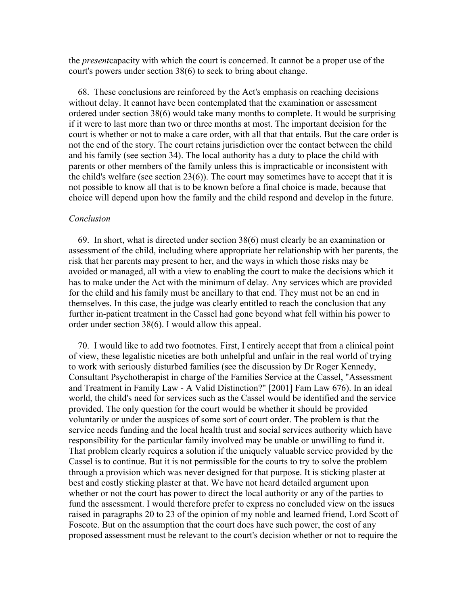the *present*capacity with which the court is concerned. It cannot be a proper use of the court's powers under section 38(6) to seek to bring about change.

68. These conclusions are reinforced by the Act's emphasis on reaching decisions without delay. It cannot have been contemplated that the examination or assessment ordered under section 38(6) would take many months to complete. It would be surprising if it were to last more than two or three months at most. The important decision for the court is whether or not to make a care order, with all that that entails. But the care order is not the end of the story. The court retains jurisdiction over the contact between the child and his family (see section 34). The local authority has a duty to place the child with parents or other members of the family unless this is impracticable or inconsistent with the child's welfare (see section  $23(6)$ ). The court may sometimes have to accept that it is not possible to know all that is to be known before a final choice is made, because that choice will depend upon how the family and the child respond and develop in the future.

## *Conclusion*

69. In short, what is directed under section 38(6) must clearly be an examination or assessment of the child, including where appropriate her relationship with her parents, the risk that her parents may present to her, and the ways in which those risks may be avoided or managed, all with a view to enabling the court to make the decisions which it has to make under the Act with the minimum of delay. Any services which are provided for the child and his family must be ancillary to that end. They must not be an end in themselves. In this case, the judge was clearly entitled to reach the conclusion that any further in-patient treatment in the Cassel had gone beyond what fell within his power to order under section 38(6). I would allow this appeal.

70. I would like to add two footnotes. First, I entirely accept that from a clinical point of view, these legalistic niceties are both unhelpful and unfair in the real world of trying to work with seriously disturbed families (see the discussion by Dr Roger Kennedy, Consultant Psychotherapist in charge of the Families Service at the Cassel, "Assessment and Treatment in Family Law - A Valid Distinction?" [2001] Fam Law 676). In an ideal world, the child's need for services such as the Cassel would be identified and the service provided. The only question for the court would be whether it should be provided voluntarily or under the auspices of some sort of court order. The problem is that the service needs funding and the local health trust and social services authority which have responsibility for the particular family involved may be unable or unwilling to fund it. That problem clearly requires a solution if the uniquely valuable service provided by the Cassel is to continue. But it is not permissible for the courts to try to solve the problem through a provision which was never designed for that purpose. It is sticking plaster at best and costly sticking plaster at that. We have not heard detailed argument upon whether or not the court has power to direct the local authority or any of the parties to fund the assessment. I would therefore prefer to express no concluded view on the issues raised in paragraphs 20 to 23 of the opinion of my noble and learned friend, Lord Scott of Foscote. But on the assumption that the court does have such power, the cost of any proposed assessment must be relevant to the court's decision whether or not to require the